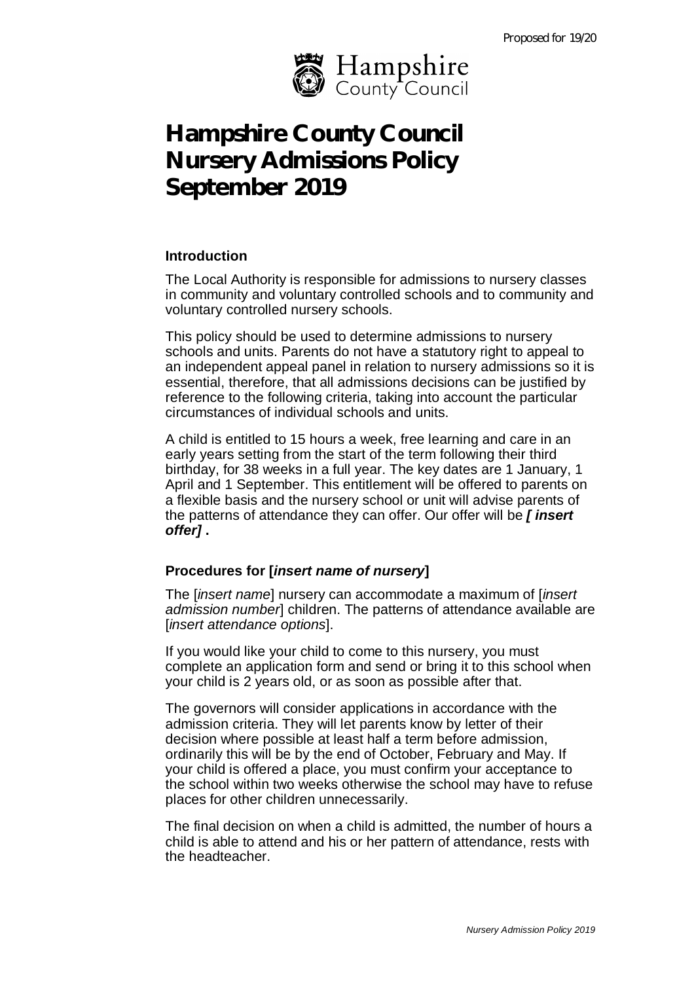

# **Hampshire County Council Nursery Admissions Policy September 2019**

#### **Introduction**

The Local Authority is responsible for admissions to nursery classes in community and voluntary controlled schools and to community and voluntary controlled nursery schools.

This policy should be used to determine admissions to nursery schools and units. Parents do not have a statutory right to appeal to an independent appeal panel in relation to nursery admissions so it is essential, therefore, that all admissions decisions can be justified by reference to the following criteria, taking into account the particular circumstances of individual schools and units.

A child is entitled to 15 hours a week, free learning and care in an early years setting from the start of the term following their third birthday, for 38 weeks in a full year. The key dates are 1 January, 1 April and 1 September. This entitlement will be offered to parents on a flexible basis and the nursery school or unit will advise parents of the patterns of attendance they can offer. Our offer will be *[ insert offer]* **.**

## **Procedures for [***insert name of nursery***]**

The [*insert name*] nursery can accommodate a maximum of [*insert admission number*] children. The patterns of attendance available are [*insert attendance options*].

If you would like your child to come to this nursery, you must complete an application form and send or bring it to this school when your child is 2 years old, or as soon as possible after that.

The governors will consider applications in accordance with the admission criteria. They will let parents know by letter of their decision where possible at least half a term before admission, ordinarily this will be by the end of October, February and May. If your child is offered a place, you must confirm your acceptance to the school within two weeks otherwise the school may have to refuse places for other children unnecessarily.

The final decision on when a child is admitted, the number of hours a child is able to attend and his or her pattern of attendance, rests with the headteacher.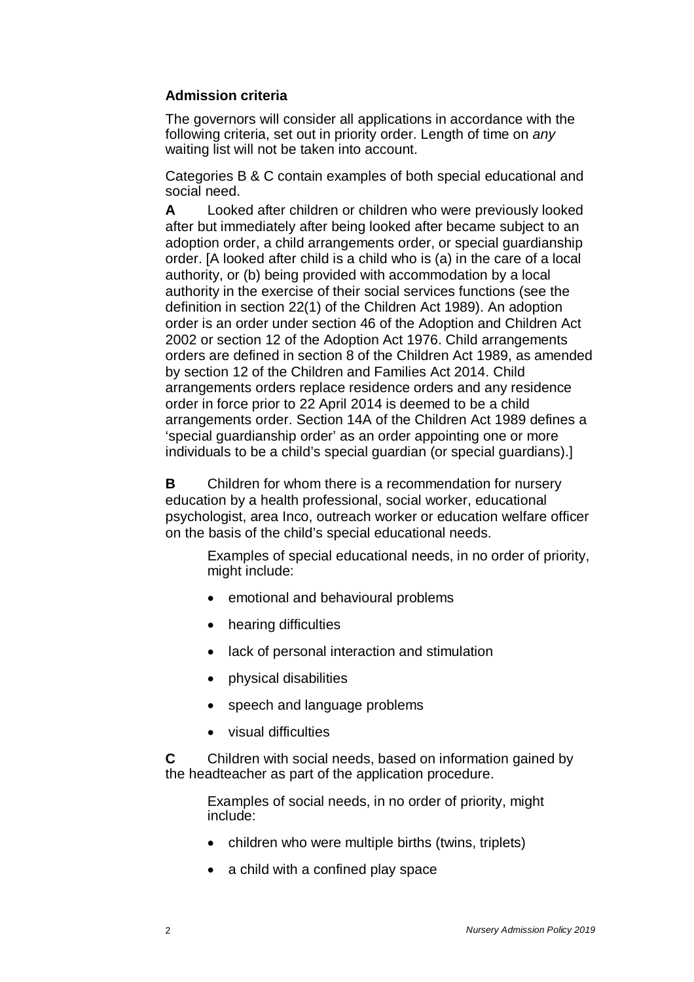# **Admission criteria**

The governors will consider all applications in accordance with the following criteria, set out in priority order. Length of time on *any* waiting list will not be taken into account.

Categories B & C contain examples of both special educational and social need.

**A** Looked after children or children who were previously looked after but immediately after being looked after became subject to an adoption order, a child arrangements order, or special guardianship order. [A looked after child is a child who is (a) in the care of a local authority, or (b) being provided with accommodation by a local authority in the exercise of their social services functions (see the definition in section 22(1) of the Children Act 1989). An adoption order is an order under section 46 of the Adoption and Children Act 2002 or section 12 of the Adoption Act 1976. Child arrangements orders are defined in section 8 of the Children Act 1989, as amended by section 12 of the Children and Families Act 2014. Child arrangements orders replace residence orders and any residence order in force prior to 22 April 2014 is deemed to be a child arrangements order. Section 14A of the Children Act 1989 defines a 'special guardianship order' as an order appointing one or more individuals to be a child's special guardian (or special guardians).]

**B** Children for whom there is a recommendation for nursery education by a health professional, social worker, educational psychologist, area Inco, outreach worker or education welfare officer on the basis of the child's special educational needs.

Examples of special educational needs, in no order of priority, might include:

- emotional and behavioural problems
- hearing difficulties
- lack of personal interaction and stimulation
- physical disabilities
- speech and language problems
- visual difficulties

**C** Children with social needs, based on information gained by the headteacher as part of the application procedure.

Examples of social needs, in no order of priority, might include:

- children who were multiple births (twins, triplets)
- a child with a confined play space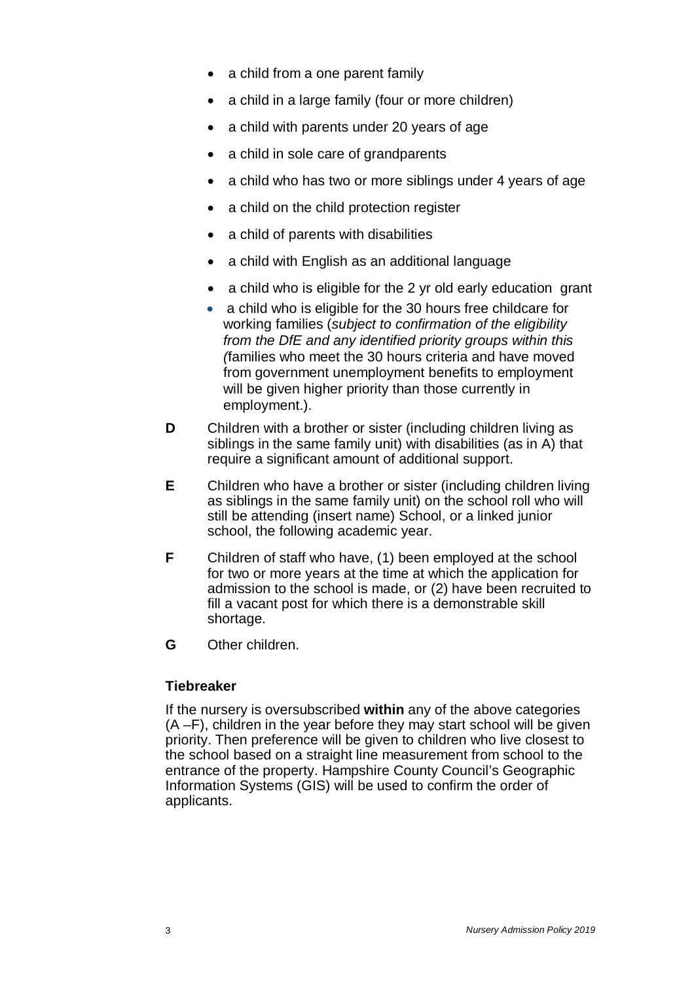- a child from a one parent family
- a child in a large family (four or more children)
- a child with parents under 20 years of age
- a child in sole care of grandparents
- a child who has two or more siblings under 4 years of age
- a child on the child protection register
- a child of parents with disabilities
- a child with English as an additional language
- a child who is eligible for the 2 yr old early education grant
- a child who is eligible for the 30 hours free childcare for working families (*subject to confirmation of the eligibility from the DfE and any identified priority groups within this (*families who meet the 30 hours criteria and have moved from government unemployment benefits to employment will be given higher priority than those currently in employment.).
- **D** Children with a brother or sister (including children living as siblings in the same family unit) with disabilities (as in A) that require a significant amount of additional support.
- **E** Children who have a brother or sister (including children living as siblings in the same family unit) on the school roll who will still be attending (insert name) School, or a linked junior school, the following academic year.
- **F** Children of staff who have, (1) been employed at the school for two or more years at the time at which the application for admission to the school is made, or (2) have been recruited to fill a vacant post for which there is a demonstrable skill shortage.
- **G** Other children.

## **Tiebreaker**

If the nursery is oversubscribed **within** any of the above categories (A –F), children in the year before they may start school will be given priority. Then preference will be given to children who live closest to the school based on a straight line measurement from school to the entrance of the property. Hampshire County Council's Geographic Information Systems (GIS) will be used to confirm the order of applicants.